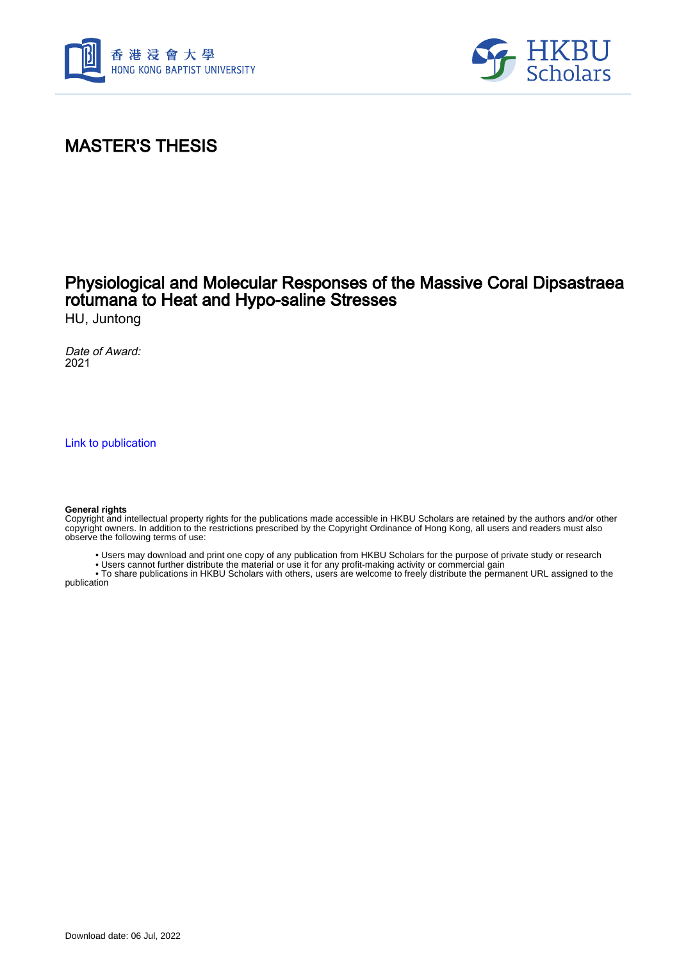



## MASTER'S THESIS

### Physiological and Molecular Responses of the Massive Coral Dipsastraea rotumana to Heat and Hypo-saline Stresses

HU, Juntong

Date of Award: 2021

[Link to publication](https://scholars.hkbu.edu.hk/en/studentTheses/58ae40b8-169f-4a7d-90bb-50baf5b2cc32)

#### **General rights**

Copyright and intellectual property rights for the publications made accessible in HKBU Scholars are retained by the authors and/or other copyright owners. In addition to the restrictions prescribed by the Copyright Ordinance of Hong Kong, all users and readers must also observe the following terms of use:

- Users may download and print one copy of any publication from HKBU Scholars for the purpose of private study or research
- Users cannot further distribute the material or use it for any profit-making activity or commercial gain

 • To share publications in HKBU Scholars with others, users are welcome to freely distribute the permanent URL assigned to the publication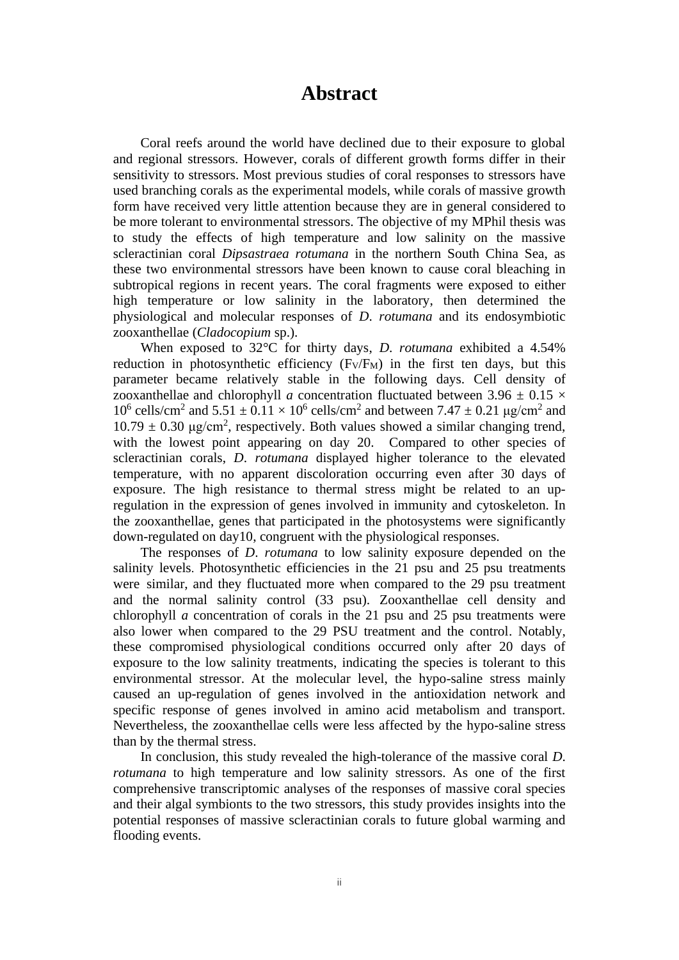#### **Abstract**

<span id="page-1-0"></span>Coral reefs around the world have declined due to their exposure to global and regional stressors. However, corals of different growth forms differ in their sensitivity to stressors. Most previous studies of coral responses to stressors have used branching corals as the experimental models, while corals of massive growth form have received very little attention because they are in general considered to be more tolerant to environmental stressors. The objective of my MPhil thesis was to study the effects of high temperature and low salinity on the massive scleractinian coral *Dipsastraea rotumana* in the northern South China Sea, as these two environmental stressors have been known to cause coral bleaching in subtropical regions in recent years. The coral fragments were exposed to either high temperature or low salinity in the laboratory, then determined the physiological and molecular responses of *D*. *rotumana* and its endosymbiotic zooxanthellae (*Cladocopium* sp.).

When exposed to 32°C for thirty days, *D*. *rotumana* exhibited a 4.54% reduction in photosynthetic efficiency  $(F_V/F_M)$  in the first ten days, but this parameter became relatively stable in the following days. Cell density of zooxanthellae and chlorophyll *a* concentration fluctuated between 3.96  $\pm$  0.15  $\times$  $10^6$  cells/cm<sup>2</sup> and  $5.51 \pm 0.11 \times 10^6$  cells/cm<sup>2</sup> and between 7.47  $\pm$  0.21 μg/cm<sup>2</sup> and  $10.79 \pm 0.30$   $\mu$ g/cm<sup>2</sup>, respectively. Both values showed a similar changing trend, with the lowest point appearing on day 20. Compared to other species of scleractinian corals, *D*. *rotumana* displayed higher tolerance to the elevated temperature, with no apparent discoloration occurring even after 30 days of exposure. The high resistance to thermal stress might be related to an upregulation in the expression of genes involved in immunity and cytoskeleton. In the zooxanthellae, genes that participated in the photosystems were significantly down-regulated on day10, congruent with the physiological responses.

The responses of *D*. *rotumana* to low salinity exposure depended on the salinity levels. Photosynthetic efficiencies in the 21 psu and 25 psu treatments were similar, and they fluctuated more when compared to the 29 psu treatment and the normal salinity control (33 psu). Zooxanthellae cell density and chlorophyll *a* concentration of corals in the 21 psu and 25 psu treatments were also lower when compared to the 29 PSU treatment and the control. Notably, these compromised physiological conditions occurred only after 20 days of exposure to the low salinity treatments, indicating the species is tolerant to this environmental stressor. At the molecular level, the hypo-saline stress mainly caused an up-regulation of genes involved in the antioxidation network and specific response of genes involved in amino acid metabolism and transport. Nevertheless, the zooxanthellae cells were less affected by the hypo-saline stress than by the thermal stress.

In conclusion, this study revealed the high-tolerance of the massive coral *D*. *rotumana* to high temperature and low salinity stressors. As one of the first comprehensive transcriptomic analyses of the responses of massive coral species and their algal symbionts to the two stressors, this study provides insights into the potential responses of massive scleractinian corals to future global warming and flooding events.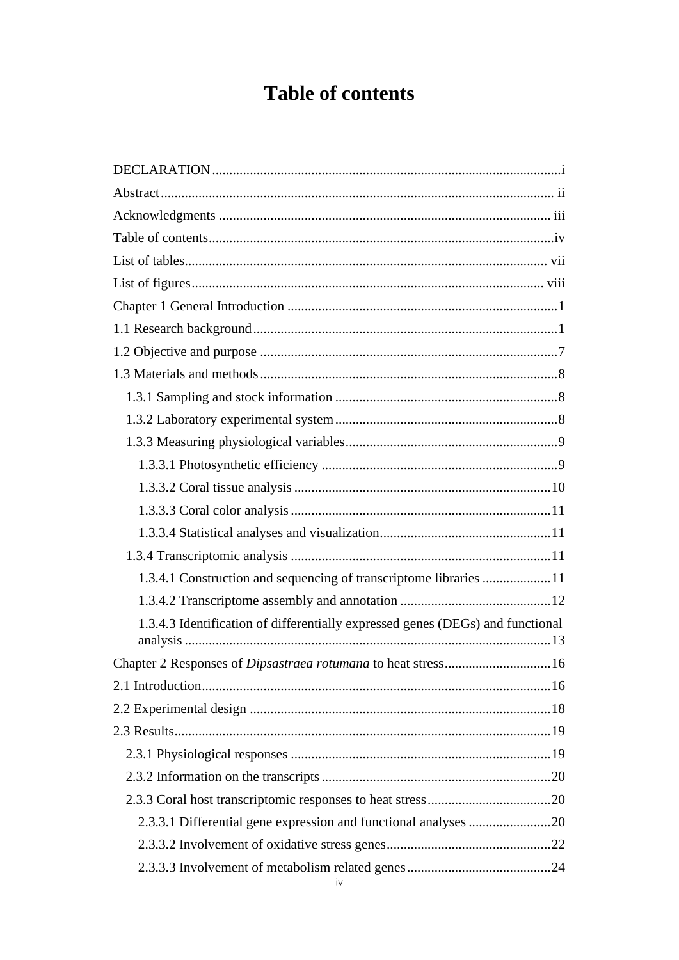# **Table of contents**

<span id="page-2-0"></span>

| 1.3.4.1 Construction and sequencing of transcriptome libraries 11              |  |
|--------------------------------------------------------------------------------|--|
|                                                                                |  |
| 1.3.4.3 Identification of differentially expressed genes (DEGs) and functional |  |
|                                                                                |  |
|                                                                                |  |
|                                                                                |  |
|                                                                                |  |
|                                                                                |  |
|                                                                                |  |
|                                                                                |  |
|                                                                                |  |
|                                                                                |  |
|                                                                                |  |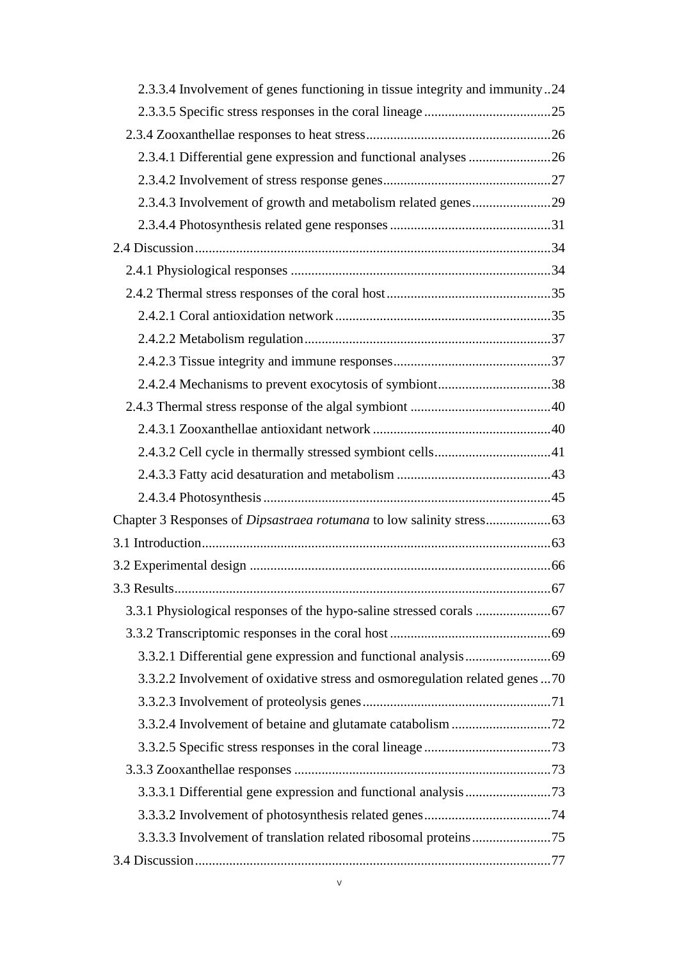| 2.3.3.4 Involvement of genes functioning in tissue integrity and immunity24 |    |
|-----------------------------------------------------------------------------|----|
|                                                                             |    |
|                                                                             |    |
|                                                                             |    |
|                                                                             |    |
| 2.3.4.3 Involvement of growth and metabolism related genes29                |    |
|                                                                             |    |
|                                                                             |    |
|                                                                             |    |
|                                                                             |    |
|                                                                             |    |
|                                                                             |    |
|                                                                             |    |
| 2.4.2.4 Mechanisms to prevent exocytosis of symbiont38                      |    |
|                                                                             |    |
|                                                                             |    |
|                                                                             |    |
|                                                                             |    |
|                                                                             |    |
|                                                                             |    |
|                                                                             |    |
|                                                                             |    |
| 3.3 Results.                                                                | 67 |
|                                                                             |    |
|                                                                             |    |
|                                                                             |    |
| 3.3.2.2 Involvement of oxidative stress and osmoregulation related genes 70 |    |
|                                                                             |    |
|                                                                             |    |
|                                                                             |    |
|                                                                             |    |
|                                                                             |    |
|                                                                             |    |
|                                                                             |    |
|                                                                             |    |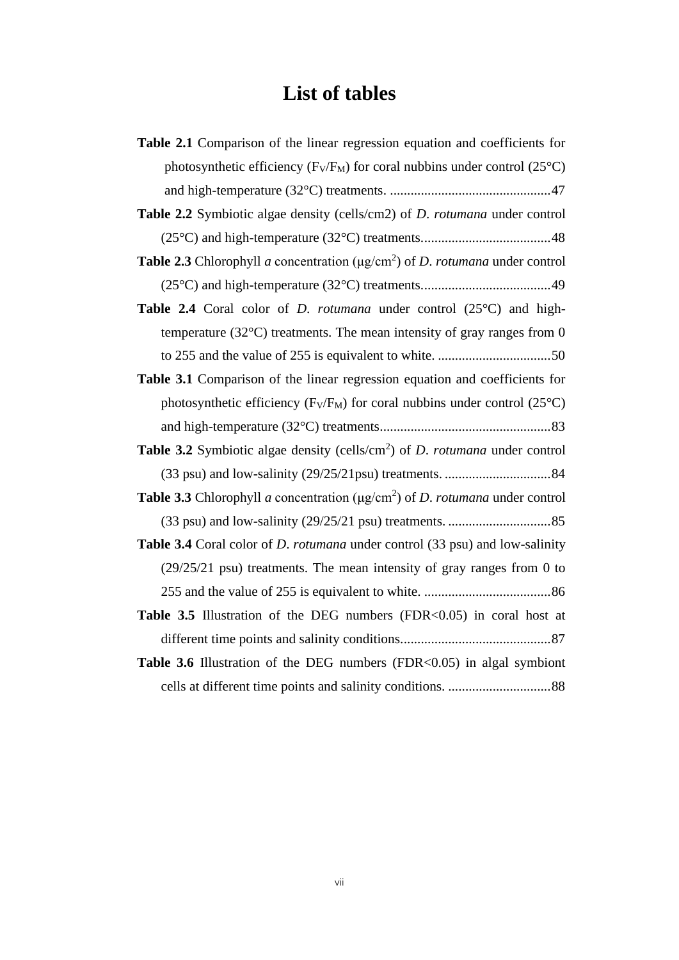# **List of tables**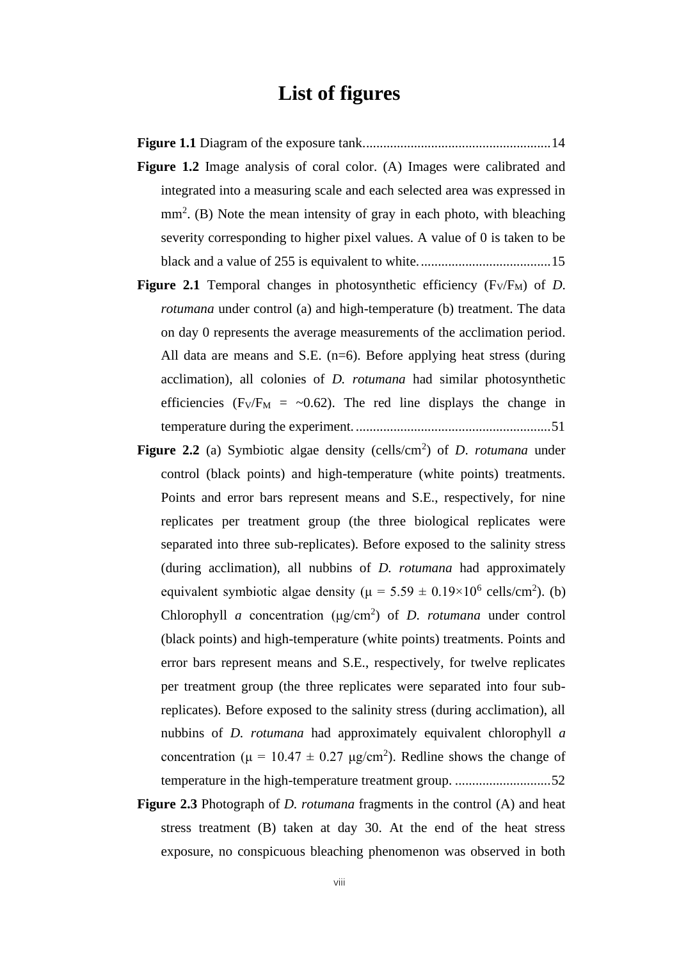### **List of figures**

- **Figure 1.1** [Diagram of the exposure tank.......................................................14](#page--1-40) Figure 1.2 Image analysis of coral color. (A) Images were calibrated and [integrated into a measuring scale and each selected area was expressed in](#page--1-41)  mm<sup>2</sup>. (B) Note the mean intensity of gray in each photo, with bleaching [severity corresponding to higher pixel values. A value of 0 is taken to be](#page--1-41)  [black and a value of 255 is equivalent to white.......................................15](#page--1-41)
- **Figure 2.1** Temporal changes in photosynthetic efficiency  $(F_V/F_M)$  of *D*. *rotumana* under control (a) and high-temperature (b) treatment. The data on day 0 represents [the average measurements of the acclimation period.](#page--1-42)  All data are means and S.E.  $(n=6)$ . Before applying heat stress (during [acclimation\), all colonies of](#page--1-42) *D. rotumana* had similar photosynthetic efficiencies (F<sub>V</sub>/F<sub>M</sub> = ~0.62). The red line displays the change in temperature during the experiment. [.........................................................51](#page--1-42)
- **Figure 2.2** [\(a\) Symbiotic algae density \(cells/cm](#page--1-43)<sup>2</sup>) of *D. rotumana* under [control \(black points\) and high-temperature \(white points\) treatments.](#page--1-43)  [Points and error bars represent means and S.E., respectively, for nine](#page--1-43)  [replicates per treatment group \(the three biological replicates were](#page--1-43)  [separated into three sub-replicates\). Before exposed to the salinity stress](#page--1-43)  [\(during acclimation\), all nubbins of](#page--1-43) *D. rotumana* had approximately equivalent symbiotic algae density ( $\mu = 5.59 \pm 0.19 \times 10^6$  cells/cm<sup>2</sup>). (b) Chlorophyll *a* [concentration \(μg/cm](#page--1-43)<sup>2</sup> ) of *D*. *rotumana* under control [\(black points\) and high-temperature \(white points\) treatments. Points and](#page--1-43)  [error bars represent means and S.E., respectively, for twelve replicates](#page--1-43)  [per treatment group \(the three replicates were separated into four sub](#page--1-43)[replicates\). Before exposed to the salinity stress \(during acclimation\), all](#page--1-43)  nubbins of *D. rotumana* [had approximately equivalent chlorophyll](#page--1-43) *a* concentration ( $\mu = 10.47 \pm 0.27$   $\mu$ g/cm<sup>2</sup>). Redline shows the change of [temperature in the high-temperature treatment group.](#page--1-43) ............................52
- **Figure 2.3** Photograph of *D. rotumana* [fragments in the control \(A\) and heat](#page--1-44)  [stress treatment \(B\) taken at day 30. At the end of the heat stress](#page--1-44)  [exposure, no conspicuous bleaching phenomenon was observed in both](#page--1-44)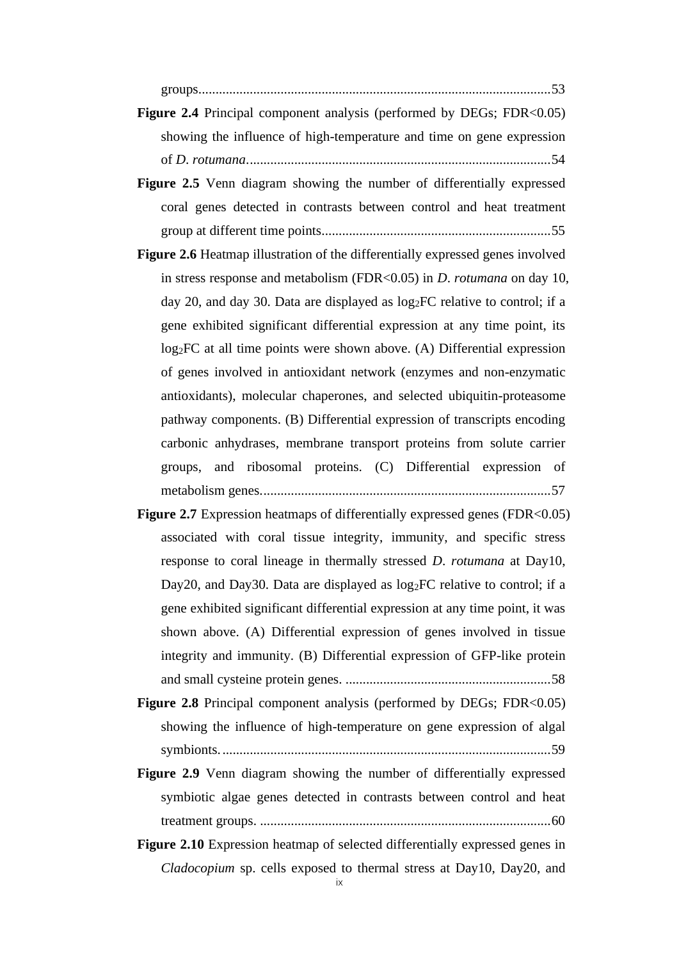[groups.......................................................................................................53](#page--1-44)

- **Figure 2.4** Principal component analysis (performed by DEGs; FDR<0.05) showing the influence of [high-temperature and time on gene expression](#page--1-45)  of *D*. *rotumana*[.........................................................................................54](#page--1-45)
- Figure 2.5 Venn diagram showing the number of differentially expressed [coral genes detected in contrasts between control and heat treatment](#page--1-46)  [group at different time points...................................................................55](#page--1-46)
- **Figure 2.6** Heatmap illustration of the differentially expressed genes involved [in stress response and metabolism \(FDR<0.05\) in](#page--1-0) *D*. *rotumana* on day 10, [day 20, and day 30. Data are displayed as log](#page--1-0)2FC relative to control; if a [gene exhibited significant differential expression at any time point, its](#page--1-0)  log<sub>2</sub>FC at all time points were shown above. (A) Differential expression [of genes involved in antioxidant network \(enzymes and non-enzymatic](#page--1-0)  [antioxidants\), molecular chaperones, and selected ubiquitin-proteasome](#page--1-0)  [pathway components. \(B\) Differential expression of transcripts encoding](#page--1-0)  [carbonic anhydrases, membrane transport proteins from solute carrier](#page--1-0)  [groups, and ribosomal proteins. \(C\) Differential expression of](#page--1-0)  [metabolism genes.....................................................................................57](#page--1-0)
- **Figure 2.7** Expression heatmaps of differentially expressed genes (FDR<0.05) [associated with coral tissue integrity, immunity, and specific stress](#page--1-47)  [response to coral lineage in thermally stressed](#page--1-47) *D*. *rotumana* at Day10, Day20, and Day30. Data are displayed as  $log_2FC$  relative to control; if a [gene exhibited significant differential expression at any time point, it was](#page--1-47)  [shown above. \(A\) Differential expression of genes involved in tissue](#page--1-47)  [integrity and immunity. \(B\) Differential expression of GFP-like protein](#page--1-47)  and small cysteine protein genes. [............................................................58](#page--1-47)
- **Figure 2.8** Principal component analysis (performed by DEGs; FDR<0.05) [showing the influence of high-temperature on gene expression of algal](#page--1-48)  [symbionts.................................................................................................59](#page--1-48)
- Figure 2.9 Venn diagram showing the number of differentially expressed [symbiotic algae genes detected in contrasts between control and heat](#page--1-49)  treatment groups. [.....................................................................................60](#page--1-49)
- **Figure 2.10** Expression heatmap of selected differentially expressed genes in *Cladocopium* [sp. cells exposed to thermal stress at Day10, Day20, and](#page--1-50)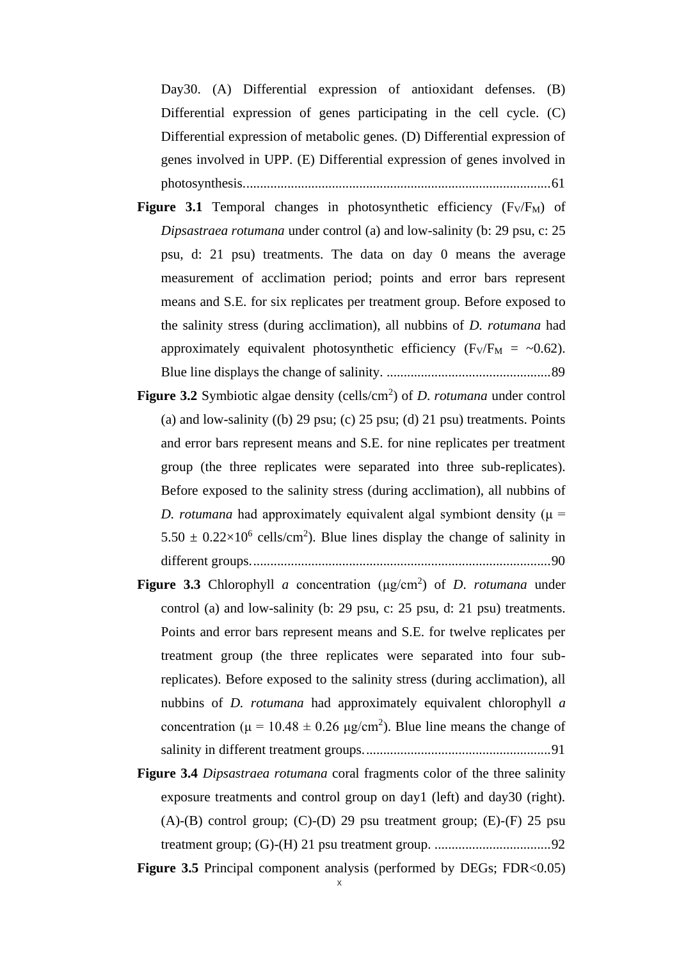Day30. (A) Differential expression of antioxidant defenses. (B) [Differential expression of genes participating in the cell cycle. \(C\)](#page--1-50)  [Differential expression of metabolic genes. \(D\) Differential expression of](#page--1-50)  [genes involved in UPP. \(E\) Differential expression of genes involved in](#page--1-50)  [photosynthesis..........................................................................................61](#page--1-50)

- **Figure 3.1** Temporal changes in photosynthetic efficiency  $(F_V/F_M)$  of *Dipsastraea rotumana* [under control \(a\) and low-salinity \(b: 29](#page--1-51) psu, c: 25 [psu, d: 21 psu\) treatments. The data on day](#page--1-51) 0 means the average [measurement of acclimation period; points and error bars represent](#page--1-51)  [means and S.E. for six replicates per treatment group. Before exposed to](#page--1-51)  [the salinity stress \(during acclimation\), all nubbins of](#page--1-51) *D. rotumana* had approximately equivalent photosynthetic efficiency ( $F_V/F_M = \sim 0.62$ ). [Blue line displays the change of salinity.](#page--1-51) ................................................89
- **Figure 3.2** [Symbiotic algae density \(cells/cm](#page--1-52)<sup>2</sup>) of *D. rotumana* under control (a) and low-salinity ((b) 29 psu; (c) 25 psu; (d) 21 psu) treatments. Points [and error bars represent means and S.E. for nine replicates per treatment](#page--1-52)  [group \(the three replicates were separated into three sub-replicates\).](#page--1-52)  [Before exposed to the salinity stress \(during acclimation\), all nubbins of](#page--1-52)  *D. rotumana* had approximately equivalent algal symbiont density ( $\mu$  =  $5.50 \pm 0.22 \times 10^6$  cells/cm<sup>2</sup>). Blue lines display the change of salinity in [different groups........................................................................................90](#page--1-52)
- **Figure 3.3** Chlorophyll *a* concentration ( $\mu$ g/cm<sup>2</sup>) of *D. rotumana* under [control \(a\) and low-salinity \(b: 29 psu, c: 25 psu, d: 21 psu\) treatments.](#page--1-53)  [Points and error bars represent means and S.E. for twelve replicates per](#page--1-53)  [treatment group \(the three replicates were separated into four sub](#page--1-53)replicates). Before exposed to the [salinity stress \(during acclimation\), all](#page--1-53)  nubbins of *D. rotumana* [had approximately equivalent chlorophyll](#page--1-53) *a* concentration ( $\mu = 10.48 \pm 0.26$   $\mu$ g/cm<sup>2</sup>). Blue line means the change of [salinity in different treatment groups.......................................................91](#page--1-53)
- **Figure 3.4** *Dipsastraea rotumana* [coral fragments color of the three salinity](#page--1-54)  exposure treatments and control group on day1 (left) and day30 (right).  $(A)$ - $(B)$  control group;  $(C)$ - $(D)$  29 psu treatment group;  $(E)$ - $(F)$  25 psu [treatment group; \(G\)-\(H\) 21 psu treatment group.](#page--1-54) ..................................92

**Figure 3.5** Principal component analysis (performed by DEGs; FDR<0.05)